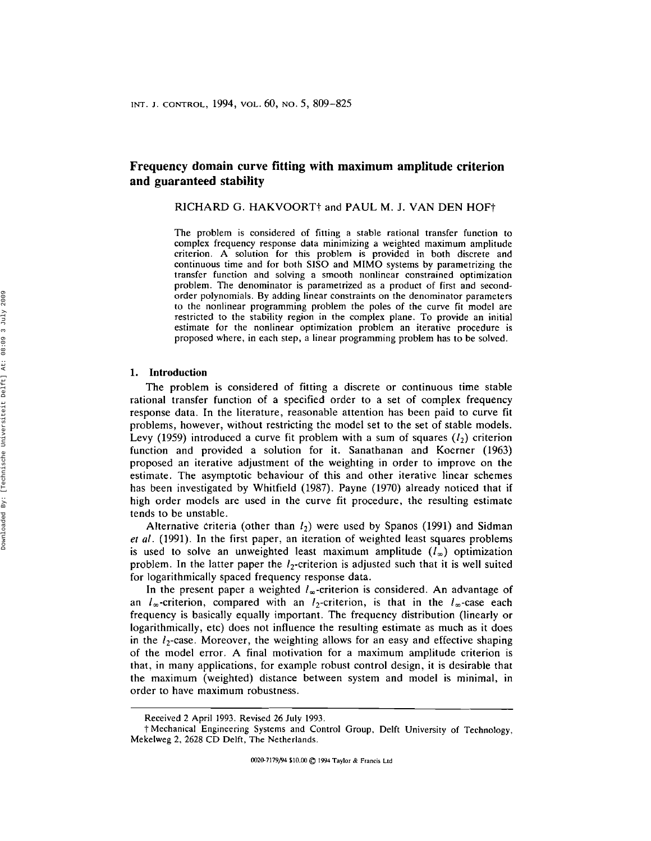# **Frequency domain curve fitting with maximum amplitude criterion and guaranteed stability**

RICHARD G. HAKVOORT<sup>†</sup> and PAUL M. J. VAN DEN HOF<sup>†</sup>

The problem is considered of fitting a stable rational transfer function to complex frequency response data minimizing a weighted maximum amplitude criterion. A solution for this problem is provided in both discrete and continuous time and for both SISO and MIMO systems by parametrizing the transfer function and solving a smooth nonlinear constrained optimization problem. The denominator is parametrized as a product of first and secondorder polynomials. By adding linear constraints on the denominator parameters to the nonlinear programming problem the poles of the curve fit model are restricted to the stability region in the complex plane. To provide an initial estimate for the nonlinear optimization problem an iterative procedure is proposed where, in each step, a linear programming problem has to be solved.

#### **1. Introduction**

The problem is considered of fitting a discrete or continuous time stable rational transfer function of a specified order to a set of complex frequency response data. In the literature, reasonable attention has been paid to curve fit problems, however, without restricting the model set to the set of stable models. Levy (1959) introduced a curve fit problem with a sum of squares  $(l_2)$  criterion function and provided a solution for it. Sanathanan and Koerner (1963) proposed an iterative adjustment of the weighting in order to improve on the estimate. The asymptotic behaviour of this and other iterative linear schemes has been investigated by Whitfield (1987). Payne (1970) already noticed that if high order models are used in the curve fit procedure, the resulting estimate tends to be unstable.

Alternative criteria (other than  $l_2$ ) were used by Spanos (1991) and Sidman *et al.* (1991). In the first paper, an iteration of weighted least squares problems is used to solve an unweighted least maximum amplitude  $(l_{\infty})$  optimization problem. In the latter paper the  $l_2$ -criterion is adjusted such that it is well suited for logarithmically spaced frequency response data.

In the present paper a weighted  $l_{\infty}$ -criterion is considered. An advantage of an  $l_{\infty}$ -criterion, compared with an  $l_2$ -criterion, is that in the  $l_{\infty}$ -case each frequency is basically equally important. The frequency distribution (linearly or logarithmically, etc) does not influence the resulting estimate as much as it does in the  $l_2$ -case. Moreover, the weighting allows for an easy and effective shaping of the model error. A final motivation for a maximum amplitude criterion is that, in many applications, for example robust control design, it is desirable that the maximum (weighted) distance between system and model is minimal, in order to have maximum robustness.

Received 2 April 1993. Revised 26 July 1993.

t Mechanical Engineering Systems and Control Group, Delft University of Technology, Mekelweg 2, 2628 CD Delft, The Netherlands.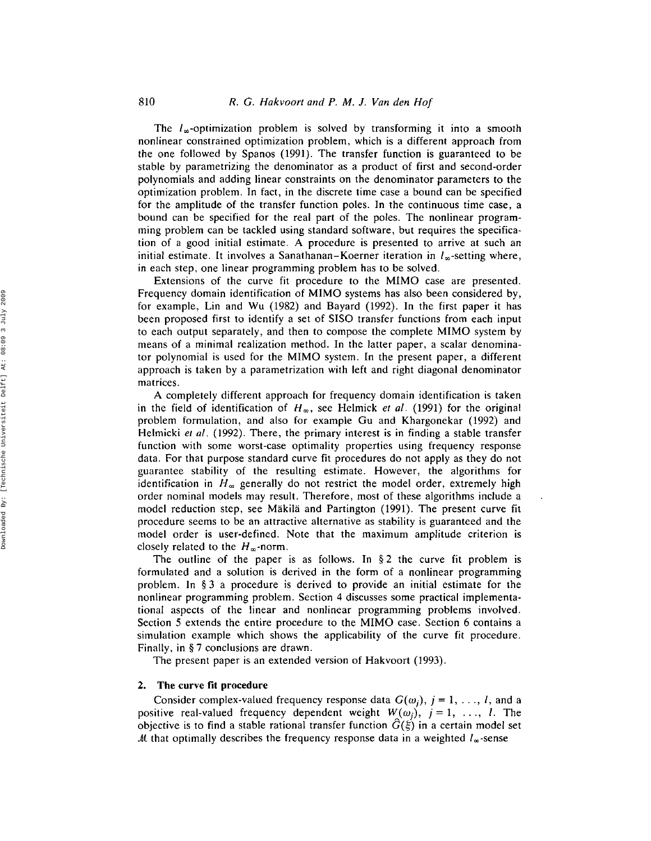The  $l_{\infty}$ -optimization problem is solved by transforming it into a smooth nonlinear constrained optimization problem, which is a different approach from the one followed by Spanos (1991). The transfer function is guaranteed to be stable by parametrizing the denominator as a product of first and second-order polynomials and adding linear constraints on the denominator parameters to the optimization problem. In fact, in the discrete time case a bound can be specified for the amplitude of the transfer function poles. In the continuous time case, a bound can be specified for the real part of the poles. The nonlinear programming problem can be tackled using standard software, but requires the specification of a good initial estimate. A procedure is presented to arrive at such an initial estimate. It involves a Sanathanan–Koerner iteration in  $l_{\infty}$ -setting where, in each step, one linear programming problem has to be solved.

Extensions of the curve fit procedure to the MIMO case are presented. Frequency domain identification of MIMO systems has also been considered by, for example, Lin and Wu (1982) and Bayard (1992). In the first paper it has been proposed first to identify a set of SISO transfer functions from each input to each output separately, and then to compose the complete MIMO system by means of a minimal realization method. In the latter paper, a scalar denominator polynomial is used for the MIMO system. In the present paper, a different approach is taken by a parametrization with left and right diagonal denominator matrices.

A completely different approach for frequency domain identification is taken in the field of identification of  $H_{\infty}$ , see Helmick *et al.* (1991) for the original problem formulation, and also for example Gu and Khargonekar (1992) and Helmicki *et al.* (1992). There, the primary interest is in finding a stable transfer function with some worst-case optimality properties using frequency response data. For that purpose standard curve fit procedures do not apply as they do not guarantee stability of the resulting estimate. However, the algorithms for identification in  $H_{\infty}$  generally do not restrict the model order, extremely high order nominal models may result. Therefore, most of these algorithms include a model reduction step, see Makila and Partington (1991). The present curve fit procedure seems to be an attractive alternative as stability is guaranteed and the model order is user-defined. Note that the maximum amplitude criterion is closely related to the  $H_{\infty}$ -norm.

The outline of the paper is as follows. In § 2 the curve fit problem is formulated and a solution is derived in the form of a nonlinear programming problem. In § 3 a procedure is derived to provide an initial estimate for the nonlinear programming problem. Section 4 discusses some practical implementational aspects of the linear and nonlinear programming problems involved. Section 5 extends the entire procedure to the MIMO case. Section 6 contains a simulation example which shows the applicability of the curve fit procedure. Finally, in § 7 conclusions are drawn.

The present paper is an extended version of Hakvoort (1993).

## 2. The curve fit procedure

Consider complex-valued frequency response data  $G(\omega_i)$ ,  $j = 1, \ldots, l$ , and a positive real-valued frequency dependent weight  $W(\omega_j)$ ,  $j = 1, \ldots, l$ . The objective is to find a stable rational transfer function  $G(\xi)$  in a certain model set M that optimally describes the frequency response data in a weighted  $I_{\infty}$ -sense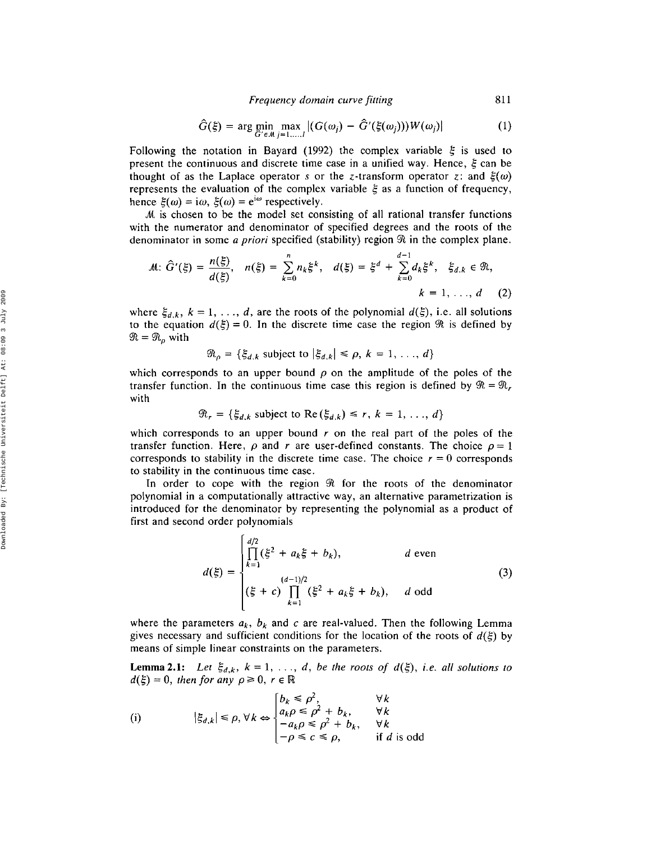*Frequency domain curve fitting* 811

$$
\hat{G}(\xi) = \arg\min_{\hat{G}' \in \mathcal{M}} \max_{j=1,\dots,l} |(G(\omega_j) - \hat{G}'(\xi(\omega_j)))W(\omega_j)| \tag{1}
$$

Following the notation in Bayard (1992) the complex variable  $\xi$  is used to present the continuous and discrete time case in a unified way. Hence,  $\xi$  can be thought of as the Laplace operator s or the z-transform operator z: and  $\xi(\omega)$ represents the evaluation of the complex variable  $\xi$  as a function of frequency, hence  $\xi(\omega) = i\omega$ ,  $\xi(\omega) = e^{i\omega}$  respectively.

At is chosen to be the model set consisting of all rational transfer functions with the numerator and denominator of specified degrees and the roots of the denominator in some *a priori* specified (stability) region  $\Re$  in the complex plane.

$$
\mathcal{M}: \hat{G}'(\xi) = \frac{n(\xi)}{d(\xi)}, \quad n(\xi) = \sum_{k=0}^{n} n_k \xi^k, \quad d(\xi) = \xi^d + \sum_{k=0}^{d-1} d_k \xi^k, \quad \xi_{d,k} \in \mathfrak{R},
$$
\n
$$
k = 1, \ldots, d \quad (2)
$$

where  $\xi_{d,k}$ ,  $k = 1, \ldots, d$ , are the roots of the polynomial  $d(\xi)$ , i.e. all solutions to the equation  $d(\xi) = 0$ . In the discrete time case the region  $\Re$  is defined by  $\Re = \Re_{\rho}$  with

$$
\mathfrak{R}_{\rho} = \{ \xi_{d,k} \text{ subject to } |\xi_{d,k}| \leq \rho, k = 1, \ldots, d \}
$$

which corresponds to an upper bound  $\rho$  on the amplitude of the poles of the transfer function. In the continuous time case this region is defined by  $\mathcal{R} = \mathcal{R}$ , with

$$
\mathcal{R}_r = \{ \xi_{d,k} \text{ subject to } \text{Re}(\xi_{d,k}) \leq r, k = 1, \ldots, d \}
$$

which corresponds to an upper bound *r* on the real part of the poles of the transfer function. Here,  $\rho$  and r are user-defined constants. The choice  $\rho = 1$ corresponds to stability in the discrete time case. The choice  $r = 0$  corresponds to stability in the continuous time case.

In order to cope with the region  $\Re$  for the roots of the denominator polynomial in a computationally attractive way, an alternative parametrization is introduced for the denominator by representing the polynomial as a product of first and second order polynomials

$$
d(\xi) = \begin{cases} \n\prod_{k=1}^{d/2} (\xi^2 + a_k \xi + b_k), & \text{d even} \\
\binom{(d-1)/2}{\xi + c} \prod_{k=1}^{(d-1)/2} (\xi^2 + a_k \xi + b_k), & \text{d odd}\n\end{cases} \tag{3}
$$

where the parameters  $a_k$ ,  $b_k$  and c are real-valued. Then the following Lemma gives necessary and sufficient conditions for the location of the roots of  $d(\xi)$  by means of simple linear constraints on the parameters.

**Lemma 2.1:** Let  $\xi_{d,k}$ ,  $k = 1, \ldots, d$ , be the roots of  $d(\xi)$ , *i.e.* all solutions to  $d(\xi) = 0$ , then for any  $\rho \ge 0$ ,  $r \in \mathbb{R}$ 

(i) 
$$
|\xi_{d,k}| \le \rho, \forall k \Leftrightarrow \begin{cases} b_k \le \rho^2, & \forall k \\ a_k \rho \le \rho^2 + b_k, & \forall k \\ -a_k \rho \le \rho^2 + b_k, & \forall k \\ -\rho \le c \le \rho, & \text{if } d \text{ is odd} \end{cases}
$$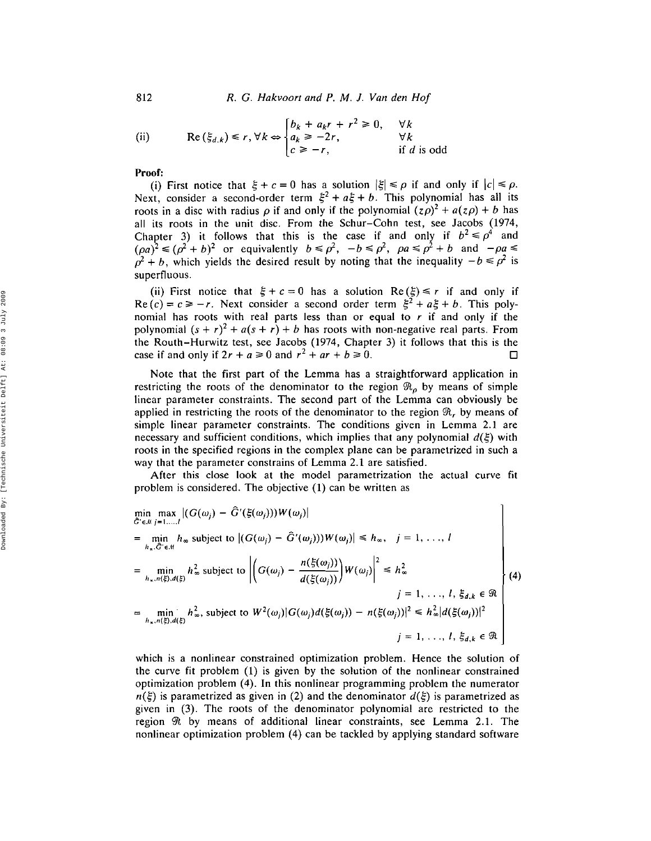812 *R.* G. *Hakvoort and P. M.* J. *Van den Hoi*

(ii) 
$$
\operatorname{Re}(\xi_{d,k}) \le r, \forall k \Leftrightarrow \begin{cases} b_k + a_k r + r^2 \ge 0, & \forall k \\ a_k \ge -2r, & \forall k \\ c \ge -r, & \text{if } d \text{ is odd} \end{cases}
$$

Proof:

(i) First notice that  $\xi + c = 0$  has a solution  $|\xi| \le \rho$  if and only if  $|c| \le \rho$ . Next, consider a second-order term  $\xi^2 + a\xi + b$ . This polynomial has all its roots in a disc with radius  $\rho$  if and only if the polynomial  $(z\rho)^2 + a(z\rho) + b$  has all its roots in the unit disc. From the Schur-Cohn test, see Jacobs (1974, Chapter 3) it follows that this is the case if and only if  $b^2 \le \rho^4$  and  $(\rho a)^2 \le (\rho^2 + b)^2$  or equivalently  $b \le \rho^2$ ,  $-b \le \rho^2$ ,  $\rho a \le \rho^2 + b$  and  $-\rho a \le$  $\hat{\rho}^2 + b$ , which yields the desired result by noting that the inequality  $-b \le \rho^2$  is superfluous.

(ii) First notice that  $\xi + c = 0$  has a solution Re  $(\xi) \le r$  if and only if  $Re(c) = c \ge -r$ . Next consider a second order term  $\xi^2 + a\xi + b$ . This polynomial has roots with real parts less than or equal to *r* if and only if the polynomial  $(s + r)^2 + a(s + r) + b$  has roots with non-negative real parts. From the Routh-Hurwitz test, see Jacobs (1974, Chapter 3) it follows that this is the case if and only if  $2r + a \ge 0$  and  $r^2 + ar + b \ge 0$ .  $\Box$ 

Note that the first part of the Lemma has a straightforward application in restricting the roots of the denominator to the region  $\mathfrak{R}_{\rho}$  by means of simple linear parameter constraints. The second part of the Lemma can obviously be applied in restricting the roots of the denominator to the region  $\Re$ , by means of simple linear parameter constraints. The conditions given in Lemma 2.1 are necessary and sufficient conditions, which implies that any polynomial  $d(\xi)$  with roots in the specified regions in the complex plane can be parametrized in such a way that the parameter constrains of Lemma 2.1 are satisfied.

After this close look at the model parametrization the actual curve fit problem is considered. The objective (1) can be written as

$$
\min_{\hat{G}' \in \mathcal{M}} \max_{j=1,\dots,l} |(G(\omega_j) - \hat{G}'(\xi(\omega_j)))W(\omega_j)|
$$
\n
$$
= \min_{h_x, \hat{G}' \in \mathcal{M}} h_{\infty} \text{ subject to } |(G(\omega_j) - \hat{G}'(\omega_j)))W(\omega_j)| \le h_{\infty}, \quad j = 1, \dots, l
$$
\n
$$
= \min_{h_x, n(\xi), d(\xi)} h_{\infty}^2 \text{ subject to } \left| \left( G(\omega_j) - \frac{n(\xi(\omega_j))}{d(\xi(\omega_j))} \right) W(\omega_j) \right|^2 \le h_{\infty}^2
$$
\n
$$
= \min_{h_x, n(\xi), d(\xi)} h_{\infty}^2, \text{ subject to } W^2(\omega_j) |G(\omega_j) d(\xi(\omega_j)) - n(\xi(\omega_j))|^2 \le h_{\infty}^2 |d(\xi(\omega_j))|^2
$$
\n
$$
j = 1, \dots, l, \xi_{d,k} \in \mathcal{R}
$$
\n
$$
= \min_{h_x, n(\xi), d(\xi)} h_{\infty}^2, \text{ subject to } W^2(\omega_j) |G(\omega_j) d(\xi(\omega_j)) - n(\xi(\omega_j))|^2 \le h_{\infty}^2 |d(\xi(\omega_j))|^2
$$

which is a nonlinear constrained optimization problem. Hence the solution of the curve fit problem (1) is given by the solution of the nonlinear constrained optimization problem (4). In this nonlinear programming problem the numerator  $n(\xi)$  is parametrized as given in (2) and the denominator  $d(\xi)$  is parametrized as given in (3). The roots of the denominator polynomial are restricted to the region  $\Re$  by means of additional linear constraints, see Lemma 2.1. The nonlinear optimization problem (4) can be tackled by applying standard software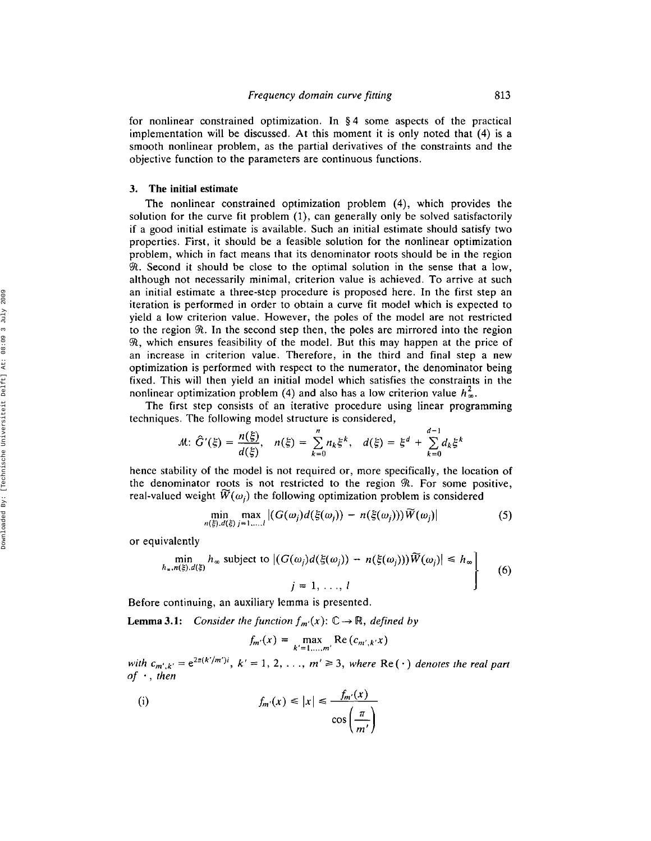for nonlinear constrained optimization. In § 4 some aspects of the practical implementation will be discussed. At this moment it is only noted that (4) is a smooth nonlinear problem, as the partial derivatives of the constraints and the objective function to the parameters are continuous functions.

### 3. The initial estimate

The nonlinear constrained optimization problem (4), which provides the solution for the curve fit problem (1), can generally only be solved satisfactorily if a good initial estimate is available. Such an initial estimate should satisfy two properties. First, it should be a feasible solution for the nonlinear optimization problem, which in fact means that its denominator roots should be in the region *P*. Second it should be close to the optimal solution in the sense that a low, although not necessarily minimal, criterion value is achieved. To arrive at such an initial estimate a three-step procedure is proposed here. In the first step an iteration is performed in order to obtain a curve fit model which is expected to yield a low criterion value. However, the poles of the model are not restricted to the region  $\Re$ . In the second step then, the poles are mirrored into the region  $\mathcal{R}$ , which ensures feasibility of the model. But this may happen at the price of an increase in criterion value. Therefore, in the third and final step a new optimization is performed with respect to the numerator, the denominator being fixed. This will then yield an initial model which satisfies the constraints in the nonlinear optimization problem (4) and also has a low criterion value  $h_{\infty}^2$ .

The first step consists of an iterative procedure using linear programming techniques. The following model structure is considered,

$$
M: \hat{G}'(\xi) = \frac{n(\xi)}{d(\xi)}, \quad n(\xi) = \sum_{k=0}^{n} n_k \xi^k, \quad d(\xi) = \xi^d + \sum_{k=0}^{d-1} d_k \xi^k
$$

hence stability of the model is not required or, more specifically, the location of the denominator roots is not restricted to the region  $\Re$ . For some positive, real-valued weight  $\widetilde{W}(\omega_i)$  the following optimization problem is considered

$$
\min_{n(\xi),d(\xi)} \max_{j=1,\ldots,l} |(G(\omega_j)d(\xi(\omega_j)) - n(\xi(\omega_j)))\widetilde{W}(\omega_j)| \tag{5}
$$

or equivalently

$$
\min_{h_x, n(\xi), d(\xi)} h_\infty \text{ subject to } |(G(\omega_j)d(\xi(\omega_j)) - n(\xi(\omega_j)))\widetilde{W}(\omega_j)| \le h_\infty
$$
\n
$$
j = 1, ..., l
$$
\n(6)

Before continuing, an auxiliary lemma is presented.

**Lemma 3.1:** *Consider the function*  $f_{m'}(x)$ :  $\mathbb{C} \rightarrow \mathbb{R}$ , *defined by* 

$$
f_m(x) = \max_{k'=1,\ldots,m'} \text{Re}\left(c_{m',k'}x\right)
$$

with  $c_{m',k'} = e^{2\pi(k'/m')i}$ ,  $k' = 1, 2, ..., m' \ge 3$ , where Re(·) denotes the real part *of* ., *then*

(i) 
$$
f_{m'}(x) \le |x| \le \frac{f_{m'}(x)}{\cos\left(\frac{\pi}{m'}\right)}
$$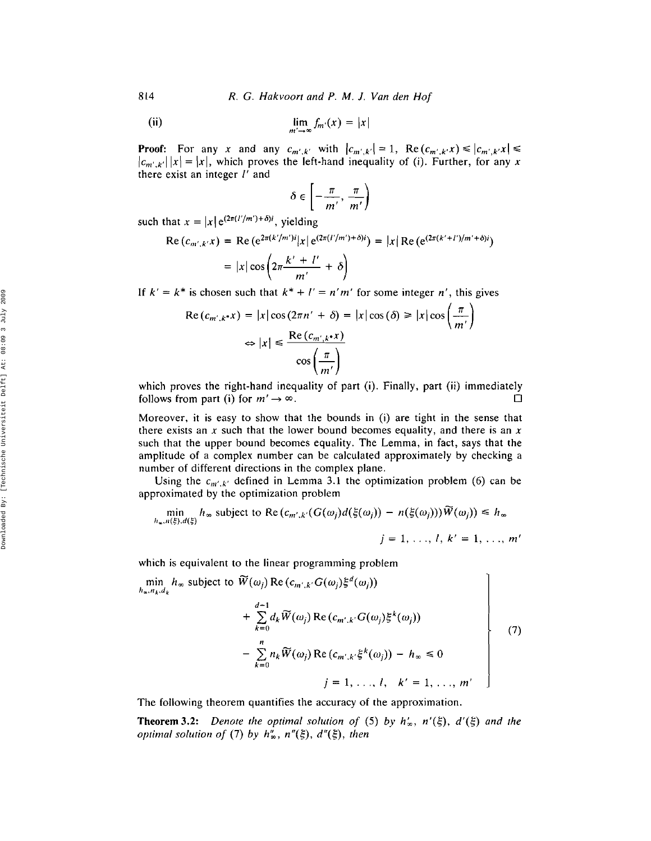R, G. *Hakvoort and* P, M. *J, Van den Hof*

(ii) 
$$
\lim_{m' \to \infty} f_m(x) = |x|
$$

**Proof:** For any *x* and any  $c_{m',k'}$  with  $|c_{m',k'}| = 1$ , Re  $(c_{m',k'}x) \le |c_{m',k'}x| \le |c_{m',k'}x|$  $|c_{m'k'}| |x| = |x|$ , which proves the left-hand inequality of (i). Further, for any *x* there exist an integer  $l'$  and

$$
\delta \in \left[ -\frac{\pi}{m'}, \frac{\pi}{m'} \right)
$$

such that  $x = |x| e^{(2\pi (l'/m') + \delta)i}$ , yielding

Re 
$$
(c_{m',k'}x)
$$
 = Re  $(e^{2\pi(k'/m')i}|x|e^{(2\pi(l'/m')+\delta)i})$  =  $|x|Re(e^{(2\pi(k'+l')/m'+\delta)i})$   
 =  $|x|\cos\left(2\pi\frac{k'+l'}{m'}+\delta\right)$ 

If  $k' = k^*$  is chosen such that  $k^* + l' = n'm'$  for some integer *n'*, this gives

$$
\operatorname{Re}\left(c_{m',k^{*}}x\right) = |x|\cos\left(2\pi n' + \delta\right) = |x|\cos\left(\delta\right) \ge |x|\cos\left(\frac{\pi}{m'}\right)
$$

$$
\Leftrightarrow |x| \le \frac{\operatorname{Re}\left(c_{m',k^{*}}x\right)}{\cos\left(\frac{\pi}{m'}\right)}
$$

which proves the right-hand inequality of part (i). Finally, part (ii) immediately follows from part (i) for  $m' \rightarrow \infty$ .

Moreover, it is easy to show that the bounds in (i) are tight in the sense that there exists an  $x$  such that the lower bound becomes equality, and there is an  $x$ such that the upper bound becomes equality. The Lemma, in fact, says that the amplitude of a complex number can be calculated approximately by checking a number of different directions in the complex plane.

Using the  $c_{m',k'}$  defined in Lemma 3.1 the optimization problem (6) can be approximated by the optimization problem

$$
\min_{h_{\infty}, n(\xi), d(\xi)} h_{\infty} \text{ subject to } \text{Re}\left(c_{m',k'}(G(\omega_j)d(\xi(\omega_j)) - n(\xi(\omega_j)))\overline{W}(\omega_j)\right) \leq h_{\infty}
$$
\n
$$
j = 1, \dots, l, k' = 1, \dots, m'
$$

which is equivalent to the linear programming problem

$$
\begin{aligned}\n\min_{h_{\infty}, n_k, d_k} h_{\infty} \text{ subject to } \widetilde{W}(\omega_j) \operatorname{Re}(c_{m',k'} G(\omega_j) \xi^d(\omega_j)) \\
+ \sum_{k=0}^{d-1} d_k \widetilde{W}(\omega_j) \operatorname{Re}(c_{m',k'} G(\omega_j) \xi^k(\omega_j)) \\
- \sum_{k=0}^n n_k \widetilde{W}(\omega_j) \operatorname{Re}(c_{m',k'} \xi^k(\omega_j)) - h_{\infty} \le 0 \\
j = 1, \dots, l, \quad k' = 1, \dots, m'\n\end{aligned}\n\tag{7}
$$

The following theorem quantifies the accuracy of the approximation.

**Theorem 3.2:** *Denote the optimal solution of* (5) *by*  $h'_{\infty}$ ,  $n'(\xi)$ ,  $d'(\xi)$  and the *optimal solution of* (7) *by*  $h''_{\infty}$ ,  $n''(\xi)$ ,  $d''(\xi)$ , then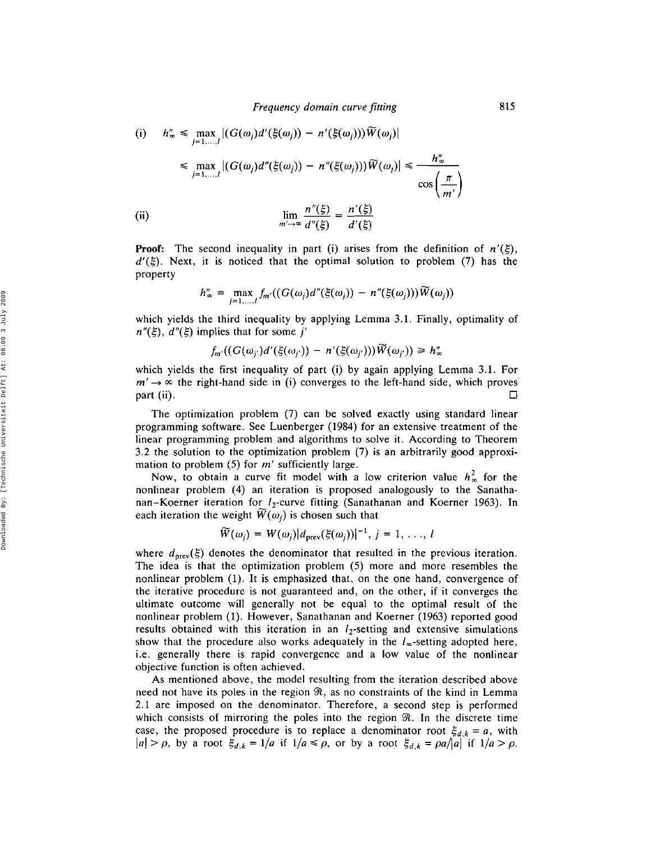(i) 
$$
h''_{\infty} \leq \max_{j=1,\dots,l} |(G(\omega_j)d'(\xi(\omega_j)) - n'(\xi(\omega_j)))W(\omega_j)|
$$
  
\n
$$
\leq \max_{j=1,\dots,l} |(G(\omega_j)d''(\xi(\omega_j)) - n''(\xi(\omega_j)))\widetilde{W}(\omega_j)| \leq \frac{h''_{\infty}}{\cos\left(\frac{\pi}{m'}\right)}
$$
  
\n(ii) 
$$
\lim_{m'\to\infty} \frac{n''(\xi)}{d''(\xi)} = \frac{n'(\xi)}{d'(\xi)}
$$

**Proof:** The second inequality in part (i) arises from the definition of  $n'(\xi)$ ,  $d'(\xi)$ . Next, it is noticed that the optimal solution to problem (7) has the property

$$
h''_{\infty} = \max_{j=1,\dots,l} f_{m'}((G(\omega_j)d''(\xi(\omega_j)) - n''(\xi(\omega_j)))\widetilde{W}(\omega_j))
$$

which yields the third inequality by applying Lemma 3.1. Finally, optimality of  $n''(\xi)$ ,  $d''(\xi)$  implies that for some j'

$$
f_{m'}((G(\omega_{j'})d'(\xi(\omega_{j'}))-n'(\xi(\omega_{j'})))\widetilde{W}(\omega_{j'}))\geq h''_{\infty}
$$

which yields the first inequality of part (i) by again applying Lemma 3.1. For  $m' \rightarrow \infty$  the right-hand side in (i) converges to the left-hand side, which proves part (ii). п

The optimization problem (7) can be solved exactly using standard linear programming software. See Luenberger (1984) for an extensive treatment of the linear programming problem and algorithms to solve it. According to Theorem 3.2 the solution to the optimization problem (7) is an arbitrarily good approximation to problem (5) for *m'* sufficiently large.

Now, to obtain a curve fit model with a low criterion value  $h_{\infty}^2$  for the nonlinear problem (4) an iteration is proposed analogously to the Sanathanan-Koerner iteration for *lz-curve* fitting (Sanathanan and Koerner 1963). In each iteration the weight  $\widetilde{W}(\omega_i)$  is chosen such that

$$
\widetilde{W}(\omega_j) = W(\omega_j) |d_{\text{prev}}(\xi(\omega_j))|^{-1}, j = 1, ..., l
$$

where  $d_{\text{prev}}(\xi)$  denotes the denominator that resulted in the previous iteration. The idea is that the optimization problem (5) more and more resembles the nonlinear problem (1). It is emphasized that, on the one hand, convergence of the iterative procedure is not guaranteed and, on the other, if it converges the ultimate outcome will generally not be equal to the optimal result of the nonlinear problem (1). However, Sanathanan and Koerner (1963) reported good results obtained with this iteration in an *lz-setting* and extensive simulations show that the procedure also works adequately in the  $l_{\infty}$ -setting adopted here, i.e. generally there is rapid convergence and a low value of the nonlinear objective function is often achieved.

As mentioned above, the model resulting from the iteration described above need not have its poles in the region  $\Re$ , as no constraints of the kind in Lemma 2.1 are imposed on the denominator. Therefore, a second step is performed which consists of mirroring the poles into the region  $\Re$ . In the discrete time case, the proposed procedure is to replace a denominator root  $\xi_{d,k} = a$ , with  $|a| > \rho$ , by a root  $\xi_{d,k} = 1/a$  if  $1/a \le \rho$ , or by a root  $\xi_{d,k} = \rho a / |a|$  if  $1/a > \rho$ .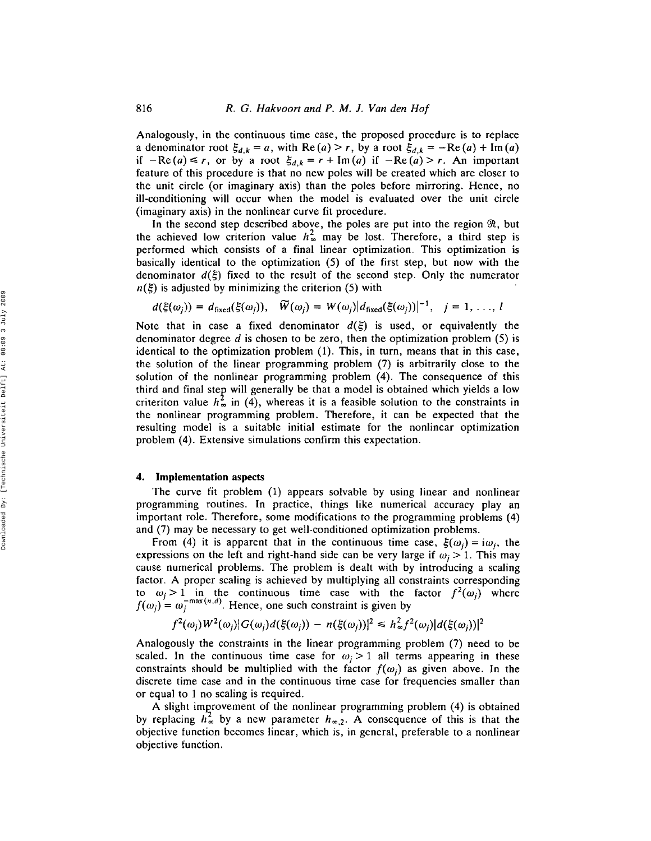Analogously, in the continuous time case, the proposed procedure is to replace a denominator root  $\xi_{d,k} = a$ , with  $\text{Re}(a) > r$ , by a root  $\xi_{d,k} = -\text{Re}(a) + \text{Im}(a)$ if  $-Re(a) \le r$ , or by a root  $\xi_{d,k} = r + Im(a)$  if  $-Re(a) > r$ . An important feature of this procedure is that no new poles will be created which are closer to the unit circle (or imaginary axis) than the poles before mirroring, Hence, no ill-conditioning will occur when the model is evaluated over the unit circle (imaginary axis) in the nonlinear curve fit procedure.

In the second step described above, the poles are put into the region  $\Re$ , but the achieved low criterion value  $h_{\infty}^2$  may be lost. Therefore, a third step is performed which consists of a final linear optimization. This optimization is basically identical to the optimization (5) of the first step, but now with the denominator  $d(\xi)$  fixed to the result of the second step. Only the numerator  $n(\xi)$  is adjusted by minimizing the criterion (5) with

$$
d(\xi(\omega_j)) = d_{\text{fixed}}(\xi(\omega_j)), \quad \widetilde{W}(\omega_j) = W(\omega_j) | d_{\text{fixed}}(\xi(\omega_j))|^{-1}, \quad j = 1, \ldots, l
$$

Note that in case a fixed denominator  $d(\xi)$  is used, or equivalently the denominator degree  $d$  is chosen to be zero, then the optimization problem (5) is identical to the optimization problem (1), This, in turn, means that in this case, the solution of the linear programming problem (7) is arbitrarily close to the solution of the nonlinear programming problem (4), The consequence of this third and final stey will generally be that a model is obtained which yields a low criteriton value  $h_{\infty}^2$  in (4), whereas it is a feasible solution to the constraints in the nonlinear programming problem. Therefore, it can be expected that the resulting model is a suitable initial estimate for the nonlinear optimization problem (4). Extensive simulations confirm this expectation.

## 4. Implementation aspects

The curve fit problem (1) appears solvable by using linear and nonlinear programming routines. In practice, things like numerical accuracy play an important role, Therefore, some modifications to the programming problems (4) and (7) may be necessary to get well-conditioned optimization problems.

From (4) it is apparent that in the continuous time case,  $\xi(\omega_i) = i\omega_i$ , the expressions on the left and right-hand side can be very large if  $\omega_i > 1$ . This may cause numerical problems, The problem is dealt with by introducing a scaling factor. A proper scaling is achieved by multiplying all constraints corresponding to  $\omega_j > 1$  in the continuous time case with the factor  $f^2(\omega_j)$  where  $f(\omega_j) = \omega_j^{-\max(n,d)}$ . Hence, one such constraint is given by

$$
f^2(\omega_j)W^2(\omega_j)|G(\omega_j)d(\xi(\omega_j)) - n(\xi(\omega_j))|^2 \leq h^2_{\infty}f^2(\omega_j)|d(\xi(\omega_j))|^2
$$

Analogously the constraints in the linear programming problem (7) need to be scaled. In the continuous time case for  $\omega_j > 1$  all terms appearing in these constraints should be multiplied with the factor  $f(\omega_i)$  as given above. In the discrete time case and in the continuous time case for frequencies smaller than or equal to 1 no scaling is required.

A slight improvement of the nonlinear programming problem (4) is obtained by replacing  $h_{\infty}^2$  by a new parameter  $h_{\infty,2}$ . A consequence of this is that the objective function becomes linear, which is, in general, preferable to a nonlinear objective function,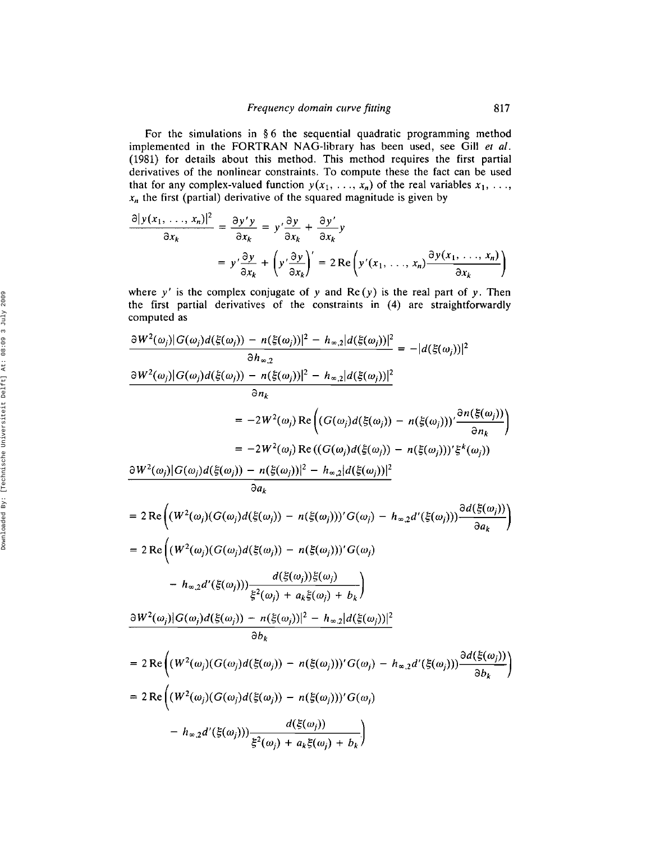For the simulations in § 6 the sequential quadratic programming method implemented in the FORTRAN NAG-library has been used, see Gill *et al.* (1981) for details about this method, This method requires the first partial derivatives of the nonlinear constraints, To compute these the fact can be used that for any complex-valued function  $y(x_1, \ldots, x_n)$  of the real variables  $x_1, \ldots,$  $x_n$  the first (partial) derivative of the squared magnitude is given by

$$
\frac{\partial |y(x_1, \ldots, x_n)|^2}{\partial x_k} = \frac{\partial y' y}{\partial x_k} = y' \frac{\partial y}{\partial x_k} + \frac{\partial y'}{\partial x_k} y
$$
  
=  $y' \frac{\partial y}{\partial x_k} + (y' \frac{\partial y}{\partial x_k})' = 2 \operatorname{Re} (y'(x_1, \ldots, x_n) \frac{\partial y(x_1, \ldots, x_n)}{\partial x_k})$ 

where y' is the complex conjugate of y and  $Re(y)$  is the real part of y. Then the first partial derivatives of the constraints in (4) are straightforwardly computed as

$$
\frac{\partial W^{2}(\omega_{j})|G(\omega_{j})d(\xi(\omega_{j})) - n(\xi(\omega_{j}))|^{2} - h_{\infty,2}|d(\xi(\omega_{j}))|^{2}}{\partial h_{\infty,2}} = -|d(\xi(\omega_{j}))|^{2}
$$
\n
$$
\frac{\partial W^{2}(\omega_{j})|G(\omega_{j})d(\xi(\omega_{j})) - n(\xi(\omega_{j}))|^{2} - h_{\infty,2}|d(\xi(\omega_{j}))|^{2}}{\partial n_{k}}
$$
\n
$$
= -2W^{2}(\omega_{j}) \operatorname{Re}\Big((G(\omega_{j})d(\xi(\omega_{j})) - n(\xi(\omega_{j})))'\frac{\partial n(\xi(\omega_{j}))}{\partial n_{k}}\Big)
$$
\n
$$
= -2W^{2}(\omega_{j}) \operatorname{Re}\big((G(\omega_{j})d(\xi(\omega_{j})) - n(\xi(\omega_{j})))'\xi^{k}(\omega_{j})\big)
$$
\n
$$
\frac{\partial W^{2}(\omega_{j})|G(\omega_{j})d(\xi(\omega_{j})) - n(\xi(\omega_{j}))|^{2} - h_{\infty,2}|d(\xi(\omega_{j}))|^{2}}{\partial a_{k}}
$$
\n
$$
= 2 \operatorname{Re}\Big((W^{2}(\omega_{j})(G(\omega_{j})d(\xi(\omega_{j})) - n(\xi(\omega_{j})))'G(\omega_{j}) - h_{\infty,2}d'(\xi(\omega_{j})))\frac{\partial d(\xi(\omega_{j}))}{\partial a_{k}}\Big)
$$
\n
$$
= 2 \operatorname{Re}\Big((W^{2}(\omega_{j})(G(\omega_{j})d(\xi(\omega_{j})) - n(\xi(\omega_{j})))'G(\omega_{j})
$$
\n
$$
- h_{\infty,2}d'(\xi(\omega_{j}))\frac{d(\xi(\omega_{j}))\xi(\omega_{j})}{\xi^{2}(\omega_{j}) + a_{k}\xi(\omega_{j}) + b_{k}}\Big)
$$
\n
$$
\frac{\partial W^{2}(\omega_{j})|G(\omega_{j})d(\xi(\omega_{j})) - n(\xi(\omega_{j}))|^{2} - h_{\infty,2}|d(\xi(\omega_{j}))|^{2}}{\partial b_{k}}
$$
\n
$$
= 2 \operatorname{Re}\Big((W^{2}(\omega_{j})(G(\omega_{j})d(\xi(\omega_{j})) - n(\xi(\omega_{j})))'G(\omega_{j}) - h_{\infty,
$$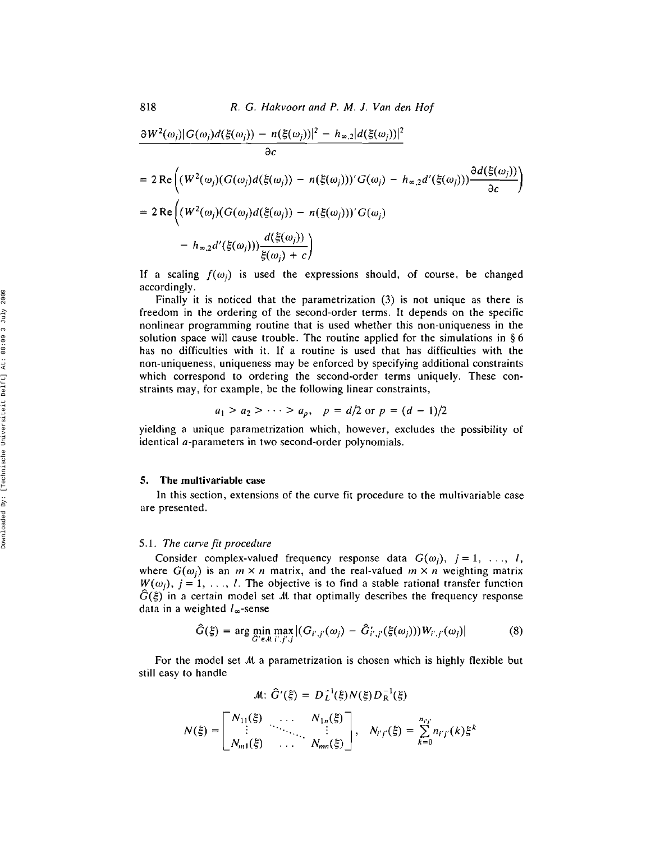$$
\frac{\partial W^{2}(\omega_{j})|G(\omega_{j})d(\xi(\omega_{j})) - n(\xi(\omega_{j}))|^{2} - h_{\infty,2}|d(\xi(\omega_{j}))|^{2}}{\partial c}
$$
\n
$$
= 2 \operatorname{Re}\left((W^{2}(\omega_{j})(G(\omega_{j})d(\xi(\omega_{j})) - n(\xi(\omega_{j})))'G(\omega_{j}) - h_{\infty,2}d'(\xi(\omega_{j})))\frac{\partial d(\xi(\omega_{j}))}{\partial c}\right)
$$
\n
$$
= 2 \operatorname{Re}\left((W^{2}(\omega_{j})(G(\omega_{j})d(\xi(\omega_{j})) - n(\xi(\omega_{j})))'G(\omega_{j}) - h_{\infty,2}d'(\xi(\omega_{j})))\frac{d(\xi(\omega_{j}))}{\xi(\omega_{j}) + c}\right)
$$

If a scaling  $f(\omega_i)$  is used the expressions should, of course, be changed accordingly.

Finally it is noticed that the parametrization (3) is not unique as there is freedom in the ordering of the second-order terms. It depends on the specific nonlinear programming routine that is used whether this non-uniqueness in the solution space will cause trouble. The routine applied for the simulations in § 6 has no difficulties with it. If a routine is used that has difficulties with the non-uniqueness, uniqueness may be enforced by specifying additional constraints which correspond to ordering the second-order terms uniquely. These constraints may, for example, be the following linear constraints,

$$
a_1 > a_2 > \cdots > a_p
$$
,  $p = d/2$  or  $p = (d - 1)/2$ 

yielding a unique parametrization which, however, excludes the possibility of identical a-parameters in two second-order polynomials.

# **5. The multivariable** case

In this section, extensions of the curve fit procedure to the multivariable case are presented.

### *5.1. The curve fit procedure*

Consider complex-valued frequency response data  $G(\omega_i)$ ,  $j = 1, \ldots, l$ , where  $G(\omega_i)$  is an  $m \times n$  matrix, and the real-valued  $m \times n$  weighting matrix  $W(\omega_i)$ ,  $j = 1, \ldots, l$ . The objective is to find a stable rational transfer function  $\hat{G}(\xi)$  in a certain model set M that optimally describes the frequency response data in a weighted  $l_{\infty}$ -sense

$$
\hat{G}(\xi) = \arg \min_{\hat{G}' \in \mathcal{M}} \max_{i',j',j} |(G_{i',j'}(\omega_j) - \hat{G}'_{i',j'}(\xi(\omega_j))) W_{i',j'}(\omega_j)| \tag{8}
$$

For the model set  $M$  a parametrization is chosen which is highly flexible but still easy to handle

$$
M: \hat{G}'(\xi) = D_L^{-1}(\xi) N(\xi) D_R^{-1}(\xi)
$$

$$
N(\xi) = \begin{bmatrix} N_{11}(\xi) & \cdots & N_{1n}(\xi) \\ \vdots & \ddots & \vdots \\ N_{m1}(\xi) & \cdots & N_{mn}(\xi) \end{bmatrix}, \quad N_{i'j'}(\xi) = \sum_{k=0}^{n_{i'j'}} n_{i'j'}(k) \xi^k
$$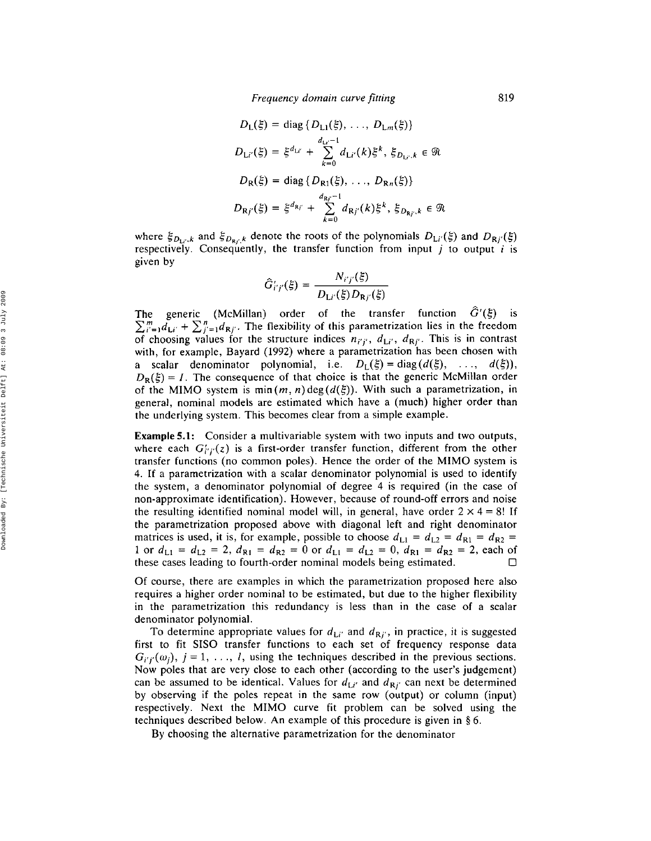$$
D_{L}(\xi) = \text{diag} \{ D_{L1}(\xi), \dots, D_{Lm}(\xi) \}
$$
  
\n
$$
D_{L'i'}(\xi) = \xi^{d_{Li'}} + \sum_{k=0}^{d_{Li'}-1} d_{Li'}(k) \xi^{k}, \xi_{D_{Li'},k} \in \mathcal{R}
$$
  
\n
$$
D_{R}(\xi) = \text{diag} \{ D_{R1}(\xi), \dots, D_{Rn}(\xi) \}
$$
  
\n
$$
D_{Rj'}(\xi) = \xi^{d_{Rj'}} + \sum_{k=0}^{d_{Rj'}-1} d_{Rj'}(k) \xi^{k}, \xi_{D_{Rj'},k} \in \mathcal{R}
$$

where  $\xi_{D_{1i},k}$  and  $\xi_{D_{Ri},k}$  denote the roots of the polynomials  $D_{Li'}(\xi)$  and  $D_{Ri'}(\xi)$ respectively. Consequently, the transfer function from input  $j$  to output  $i$  is given by

$$
\hat{G}'_{i'j'}(\xi) = \frac{N_{i'j'}(\xi)}{D_{\mathrm{L}i'}(\xi)D_{\mathrm{R}j'}(\xi)}
$$

The generic (McMillan) order of the transfer function  $\hat{G}'(\xi)$  is  $\sum_{i'=1}^{m} d_{Li'} + \sum_{j'=1}^{n} d_{Rj'}$ . The flexibility of this parametrization lies in the freedom of choosing values for the structure indices  $n_{i'j'}$ ,  $d_{Li'}$ ,  $d_{Rj'}$ . This is in contrast with, for example, Bayard (1992) where a parametrization has been chosen with a scalar denominator polynomial, i.e.  $D_{\text{L}}(\xi) = \text{diag}(d(\xi), ..., d(\xi)),$  $D_{\rm R}(\xi) = I$ . The consequence of that choice is that the generic McMillan order of the MIMO system is min $(m, n)$  deg $(d(\xi))$ . With such a parametrization, in general, nominal models are estimated which have a (much) higher order than the underlying system. This becomes clear from a simple example.

**Example 5.1:** Consider a multivariable system with two inputs and two outputs, where each  $G'_{i'j'}(z)$  is a first-order transfer function, different from the other transfer functions (no common poles). Hence the order of the MIMO system is 4. If a parametrization with a scalar denominator polynomial is used to identify the system, a denominator polynomial of degree 4 is required (in the case of non-approximate identification). However, because of round-off errors and noise the resulting identified nominal model will, in general, have order  $2 \times 4 = 8!$  If the parametrization proposed above with diagonal left and right denominator matrices is used, it is, for example, possible to choose  $d_{L1} = d_{L2} = d_{R1} = d_{R2} =$ 1 or  $d_{L1} = d_{L2} = 2$ ,  $d_{R1} = d_{R2} = 0$  or  $d_{L1} = d_{L2} = 0$ ,  $d_{R1} = d_{R2} = 2$ , each of these cases leading to fourth-order nominal models being estimated. n

Of course, there are examples in which the parametrization proposed here also requires a higher order nominal to be estimated, but due to the higher flexibility in the parametrization this redundancy is less than in the case of a scalar denominator polynomial.

To determine appropriate values for  $d_{Li'}$  and  $d_{Rj'}$ , in practice, it is suggested first to fit SISO transfer functions to each set of frequency response data  $G_{i'j'}(\omega_j)$ ,  $j = 1, \ldots, l$ , using the techniques described in the previous sections. Now poles that are very close to each other (according to the user's judgement) can be assumed to be identical. Values for  $d_{\mathbf{L}i'}$  and  $d_{\mathbf{R}j'}$  can next be determined by observing if the poles repeat in the same row (output) or column (input) respectively. Next the MIMO curve fit problem can be solved using the techniques described below. An example of this procedure is given in § 6.

By choosing the alternative parametrization for the denominator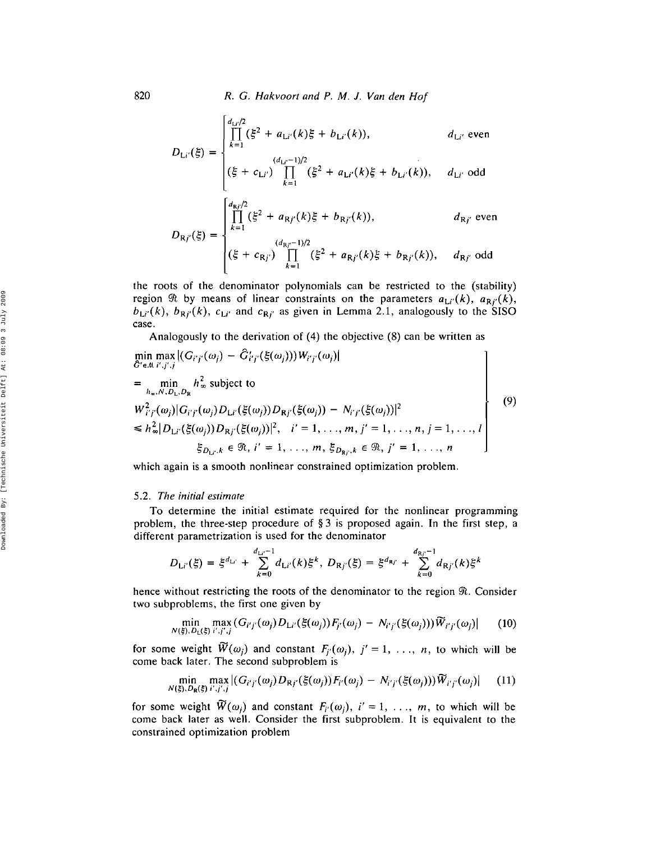820 *R.* G. *Hakvoort and P. M.* J. *Van den Ho!*

$$
D_{Li'}(\xi) = \begin{cases} \n\prod_{k=1}^{d_{Li}/2} (\xi^2 + a_{Li'}(k)\xi + b_{Li'}(k)), & d_{Li'} \text{ even} \\
\prod_{k=1}^{(d_{Li'}-1)/2} (\xi + c_{Li'}) \prod_{k=1}^{(d_{Li'}-1)/2} (\xi^2 + a_{Li'}(k)\xi + b_{Li'}(k)), & d_{Li'} \text{ odd} \\
\prod_{k=1}^{d_{Rj}/2} (\xi^2 + a_{Rj'}(k)\xi + b_{Rj'}(k)), & d_{Rj'} \text{ even} \\
\prod_{k=1}^{(d_{Rj}/2)} (\xi + c_{Rj'}) \prod_{k=1}^{(d_{Rj'}-1)/2} (\xi^2 + a_{Rj'}(k)\xi + b_{Rj'}(k)), & d_{Rj'} \text{ odd}\n\end{cases}
$$

the roots of the denominator polynomials can be restricted to the (stability) region  $\Re$  by means of linear constraints on the parameters  $a_{Li'}(k)$ ,  $a_{Ri'}(k)$ ,  $b_{Li'}(k)$ ,  $b_{Rj'}(k)$ ,  $c_{Li'}$  and  $c_{Rj'}$  as given in Lemma 2.1, analogously to the SISO case.

Analogously to the derivation of (4) the objective (8) can be written as

$$
\min_{\hat{G}' \in \mathcal{M} \; i', j', j} \max_{\hat{G}' \in \mathcal{M} \; i', j', j} |(G_{i'j'}(\omega_j) - \hat{G}'_{i'j'}(\xi(\omega_j))) W_{i'j'}(\omega_j)|
$$
\n
$$
= \min_{h_{\infty}, N, D_{\text{L}}, D_{\text{R}}} h_{\infty}^2 \text{ subject to}
$$
\n
$$
W_{i'j'}^2(\omega_j) |G_{i'j'}(\omega_j) D_{\text{L}i'}(\xi(\omega_j)) D_{\text{R}j'}(\xi(\omega_j)) - N_{i'j'}(\xi(\omega_j))|^2
$$
\n
$$
\leq h_{\infty}^2 |D_{\text{L}i'}(\xi(\omega_j)) D_{\text{R}j'}(\xi(\omega_j))|^2, \quad i' = 1, ..., m, j' = 1, ..., n, j = 1, ..., l
$$
\n
$$
\xi_{D_{\text{L}i}, k} \in \mathcal{R}, i' = 1, ..., m, \xi_{D_{\text{R}j}, k} \in \mathcal{R}, j' = 1, ..., n
$$
\n(9)

which again is a smooth nonlinear constrained optimization problem.

#### *5.2. The initial estimate*

To determine the initial estimate required for the nonlinear programming problem, the three-step procedure of § 3 is proposed again. In the first step, a different parametrization is used for the denominator

$$
D_{\mathsf{L}i'}(\xi) = \xi^{d_{\mathsf{L}i'}} + \sum_{k=0}^{d_{\mathsf{L}i'}-1} d_{\mathsf{L}i'}(k) \xi^k, \ D_{\mathsf{R}j'}(\xi) = \xi^{d_{\mathsf{R}j'}} + \sum_{k=0}^{d_{\mathsf{R}j'}-1} d_{\mathsf{R}j'}(k) \xi^k
$$

hence without restricting the roots of the denominator to the region  $\Re$ . Consider two subproblems, the first one given by

$$
\min_{N(\xi), D_{\mathsf{L}}(\xi)} \max_{i', j', j} (G_{i'j'}(\omega_j) D_{\mathsf{L}i'}(\xi(\omega_j)) F_{j'}(\omega_j) - N_{i'j'}(\xi(\omega_j))) \widetilde{W}_{i'j'}(\omega_j) | \qquad (10)
$$

for some weight  $\widetilde{W}(\omega_j)$  and constant  $F_{j'}(\omega_j)$ ,  $j' = 1, \ldots, n$ , to which will be

come back later. The second subproblem is  
\n
$$
\min_{N(\xi), D_R(\xi)} \max_{i', j', j} |(G_{i'j'}(\omega_j)D_{Rj'}(\xi(\omega_j))F_{i'}(\omega_j) - N_{i'j'}(\xi(\omega_j)))\widetilde{W}_{i'j'}(\omega_j)|
$$
\n(11)

for some weight  $\widetilde{W}(\omega_j)$  and constant  $F_{i'}(\omega_j)$ ,  $i' = 1, \ldots, m$ , to which will be come back later as well. Consider the first subproblem. It is equivalent to the constrained optimization problem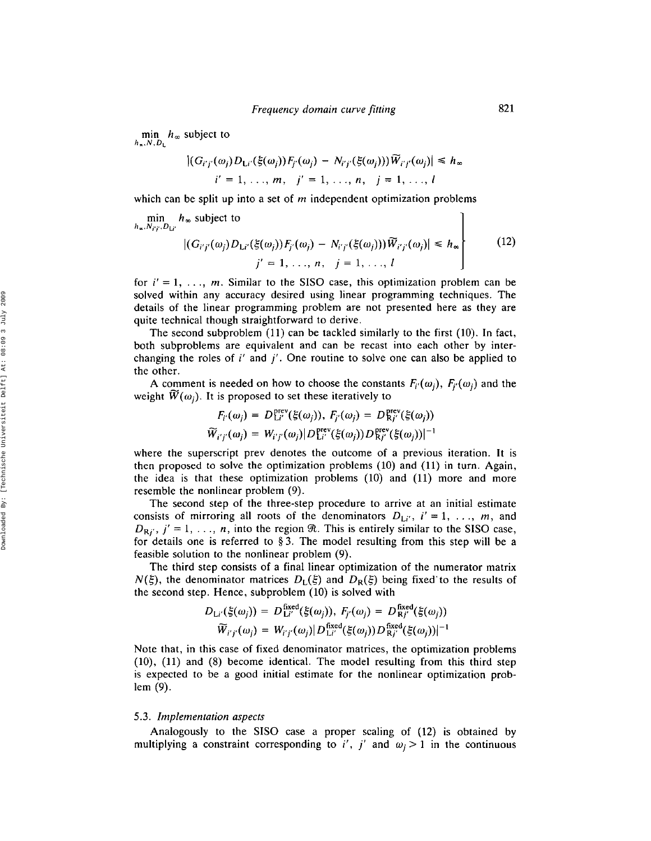min  $h_{\infty}$  subject to  $h_x, N, D_1$ 

$$
|(G_{i'j'}(\omega_j)D_{Li'}(\xi(\omega_j))F_{j'}(\omega_j)-N_{i'j'}(\xi(\omega_j)))\widetilde{W}_{i'j'}(\omega_j)|\leq h_{\infty}
$$
  

$$
i'=1,\ldots,m,\quad j'=1,\ldots,n,\quad j=1,\ldots,l
$$

which can be split up into a set of *m* independent optimization problems

$$
\min_{h_{\infty}, N_{Ff}, D_{LI'}} h_{\infty} \text{ subject to}
$$
\n
$$
|(G_{i'j'}(\omega_j)D_{Li'}(\xi(\omega_j))F_{j'}(\omega_j) - N_{i'j'}(\xi(\omega_j)))\widetilde{W}_{i'j'}(\omega_j)| \le h_{\infty}
$$
\n
$$
j' = 1, ..., n, \quad j = 1, ..., l
$$
\n(12)

for  $i' = 1, \ldots, m$ . Similar to the SISO case, this optimization problem can be solved within any accuracy desired using linear programming techniques. The details of the linear programming problem are not presented here as they are quite technical though straightforward to derive.

The second subproblem (11) can be tackled similarly to the first (10). **In** fact, both subproblems are equivalent and can be recast into each other by interchanging the roles of *i'* and *j',* One routine to solve one can also be applied to the other.

A comment is needed on how to choose the constants  $F_i(\omega_i)$ ,  $F_i(\omega_i)$  and the weight  $\widetilde{W}(\omega_i)$ . It is proposed to set these iteratively to

$$
F_{i'}(\omega_j) = D_{Li'}^{\text{prev}}(\xi(\omega_j)), F_{j'}(\omega_j) = D_{Kj'}^{\text{prev}}(\xi(\omega_j))
$$
  

$$
\widetilde{W}_{i'j'}(\omega_j) = W_{i'j'}(\omega_j) | D_{Li'}^{\text{prev}}(\xi(\omega_j)) D_{Kj'}^{\text{prev}}(\xi(\omega_j))|^{-1}
$$

where the superscript prev denotes the outcome of a previous iteration. It is then proposed to solve the optimization problems (10) and (11) in turn. Again, the idea is that these optimization problems (10) and (11) more and more resemble the nonlinear problem (9).

The second step of the three-step procedure to arrive at an initial estimate consists of mirroring all roots of the denominators  $D_{Li'}$ ,  $i' = 1, \ldots, m$ , and  $D_{\mathbf{R}i'}$ ,  $j' = 1, \ldots, n$ , into the region  $\Re$ . This is entirely similar to the SISO case. for details one is referred to § 3. The model resulting from this step will be a feasible solution to the nonlinear problem (9).

The third step consists of a final linear optimization of the numerator matrix  $N(\xi)$ , the denominator matrices  $D_L(\xi)$  and  $D_R(\xi)$  being fixed to the results of the second step. Hence, subproblem (10) is solved with

$$
D_{\text{Li}'}(\xi(\omega_j)) = D_{\text{Li}'}^{\text{fixed}}(\xi(\omega_j)), \ F_{j'}(\omega_j) = D_{\text{R}j'}^{\text{fixed}}(\xi(\omega_j))
$$
  

$$
\widetilde{W}_{i'j'}(\omega_j) = W_{i'j'}(\omega_j) | D_{\text{Li}'}^{\text{fixed}}(\xi(\omega_j)) D_{\text{R}j'}^{\text{fixed}}(\xi(\omega_j))|^{-1}
$$

Note that, in this case of fixed denominator matrices, the optimization problems (10), (11) and (8) become identical. The model resulting from this third step is expected to be a good initial estimate for the nonlinear optimization problem (9).

### *5.3. Implementation aspects*

Analogously to the SISO case a proper scaling of (12) is obtained by multiplying a constraint corresponding to *i'*, *j'* and  $\omega_i > 1$  in the continuous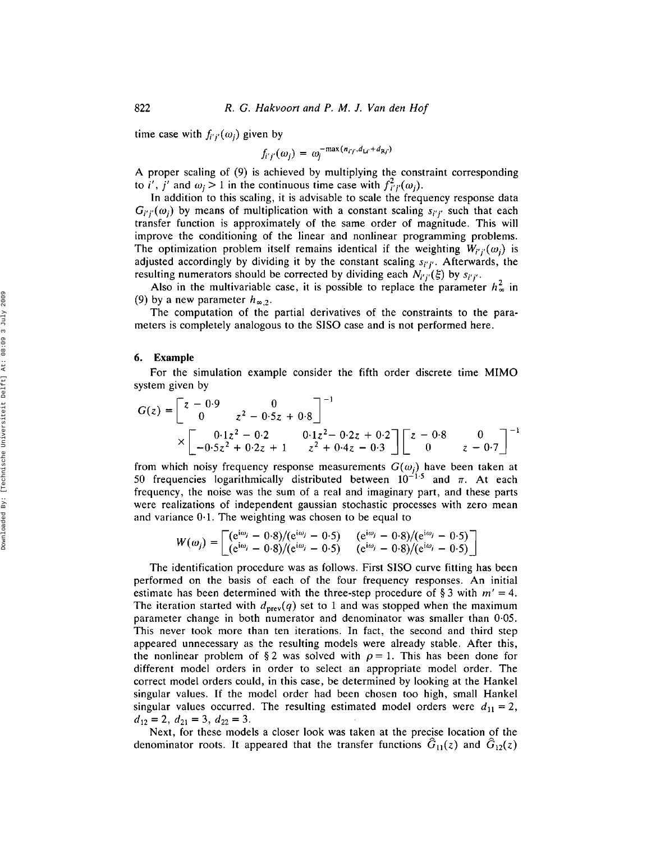time case with  $f_{i'i'}(\omega_i)$  given by

$$
f_{i'j'}(\omega_j) = \omega_j^{-\max(n_{i'j'},d_{Li'}+d_{Rj'})}
$$

A proper scaling of (9) is achieved by multiplying the constraint corresponding to *i'*, *j'* and  $\omega_i > 1$  in the continuous time case with  $f^2_{i'i'}(\omega_i)$ .

In addition to this scaling, it is advisable to scale the frequency response data  $G_{i'i'}(\omega_i)$  by means of multiplication with a constant scaling  $s_{i'i'}$  such that each transfer function is approximately of the same order of magnitude. This will improve the conditioning of the linear and nonlinear programming problems. The optimization problem itself remains identical if the weighting  $W_{i'j'}(\omega_j)$  is adjusted accordingly by dividing it by the constant scaling *Si'j"* Afterwards, the resulting numerators should be corrected by dividing each  $N_{i'j'}(\xi)$  by  $s_{i'j'}$ .

Also in the multivariable case, it is possible to replace the parameter  $h_{\infty}^2$  in (9) by a new parameter  $h_{\infty,2}$ .

The computation of the partial derivatives of the constraints to the parameters is completely analogous to the SISO case and is not performed here.

#### 6. Example

For the simulation example consider the fifth order discrete time MIMO system given by

$$
G(z) = \begin{bmatrix} z - 0.9 & 0 \ 0 & z^2 - 0.5z + 0.8 \end{bmatrix}^{-1}
$$
  
 
$$
\times \begin{bmatrix} 0.1z^2 - 0.2 & 0.1z^2 - 0.2z + 0.2 \ -0.5z^2 + 0.2z + 1 & z^2 + 0.4z - 0.3 \end{bmatrix} \begin{bmatrix} z - 0.8 & 0 \ 0 & z - 0.7 \end{bmatrix}^{-1}
$$

from which noisy frequency response measurements  $G(\omega_i)$  have been taken at 50 frequencies logarithmically distributed between  $10^{-1.5}$  and  $\pi$ . At each frequency, the noise was the sum of a real and imaginary part, and these parts were realizations of independent gaussian stochastic processes with zero mean and variance 0·1. The weighting was chosen to be equal to

$$
W(\omega_j) = \begin{bmatrix} (e^{i\omega_j} - 0.8)/(e^{i\omega_j} - 0.5) & (e^{i\omega_j} - 0.8)/(e^{i\omega_j} - 0.5) \\ (e^{i\omega_j} - 0.8)/(e^{i\omega_j} - 0.5) & (e^{i\omega_j} - 0.8)/(e^{i\omega_j} - 0.5) \end{bmatrix}
$$

The identification procedure was as follows. First SISO curve fitting has been performed on the basis of each of the four frequency responses. An initial estimate has been determined with the three-step procedure of § 3 with  $m' = 4$ . The iteration started with  $d_{prev}(q)$  set to 1 and was stopped when the maximum parameter change in both numerator and denominator was smaller than 0·05. This never took more than ten iterations. In fact, the second and third step appeared unnecessary as the resulting models were already stable. After this, the nonlinear problem of §2 was solved with  $\rho = 1$ . This has been done for different model orders in order to select an appropriate model order. The correct model orders could, in this case, be determined by looking at the Hankel singular values. If the model order had been chosen too high, small Hankel singular values occurred. The resulting estimated model orders were  $d_{11} = 2$ ,  $d_{12} = 2, d_{21} = 3, d_{22} = 3.$ 

Next, for these models a closer look was taken at the precise location of the denominator roots. It appeared that the transfer functions  $\hat{G}_{11}(z)$  and  $\hat{G}_{12}(z)$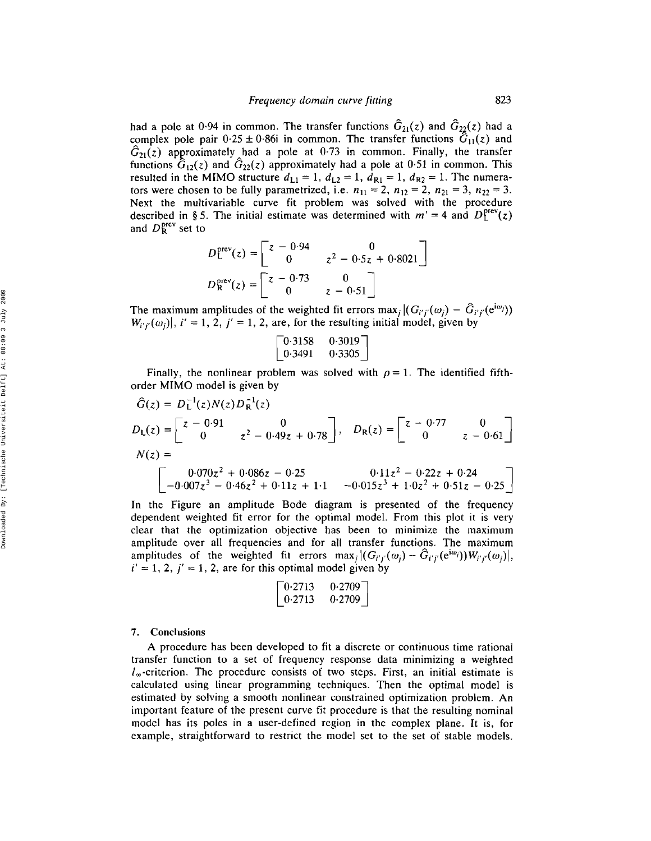had a pole at 0.94 in common. The transfer functions  $\hat{G}_{21}(z)$  and  $\hat{G}_{22}(z)$  had a complex pole pair  $0.25 \pm 0.86$  in common. The transfer functions  $\hat{G}_{11}(z)$  and  $\hat{G}_{21}(z)$  approximately had a pole at 0.73 in common. Finally, the transfer functions  $\hat{G}_{12}(z)$  and  $\hat{G}_{22}(z)$  approximately had a pole at 0.51 in common. This resulted in the MIMO structure  $d_{L1} = 1$ ,  $d_{L2} = 1$ ,  $d_{R1} = 1$ ,  $d_{R2} = 1$ . The numerators were chosen to be fully parametrized, i.e.  $n_{11} = 2$ ,  $n_{12} = 2$ ,  $n_{21} = 3$ ,  $n_{22} = 3$ . Next the multivariable curve fit problem was solved with the procedure described in § 5. The initial estimate was determined with  $m' = 4$  and  $D_L^{\text{prev}}(z)$ and  $D_R^{\text{prev}}$  set to

$$
D_{\mathsf{L}}^{\text{prev}}(z) = \begin{bmatrix} z - 0.94 & 0 \\ 0 & z^2 - 0.5z + 0.8021 \end{bmatrix}
$$

$$
D_{\mathsf{R}}^{\text{prev}}(z) = \begin{bmatrix} z - 0.73 & 0 \\ 0 & z - 0.51 \end{bmatrix}
$$

The maximum amplitudes of the weighted fit errors max<sub>j</sub>  $|(G_{i'j'}(\omega_i) - \hat{G}_{i'j'}(e^{i\omega_j}))$  $W_{i'j'}(\omega_j)$ ,  $i' = 1, 2, j' = 1, 2$ , are, for the resulting initial model, given by

$$
\begin{bmatrix} 0.3158 & 0.3019 \\ 0.3491 & 0.3305 \end{bmatrix}
$$

Finally, the nonlinear problem was solved with  $\rho = 1$ . The identified fifthorder MIMO model is given by

$$
\hat{G}(z) = D_{L}^{-1}(z)N(z)D_{R}^{-1}(z)
$$
\n
$$
D_{L}(z) = \begin{bmatrix} z - 0.91 & 0 \\ 0 & z^{2} - 0.49z + 0.78 \end{bmatrix}, \quad D_{R}(z) = \begin{bmatrix} z - 0.77 & 0 \\ 0 & z - 0.61 \end{bmatrix}
$$
\n
$$
N(z) = \begin{bmatrix} 0.070z^{2} + 0.086z - 0.25 & 0.11z^{2} - 0.22z + 0.24 \\ -0.007z^{3} - 0.46z^{2} + 0.11z + 1.1 & -0.015z^{3} + 1.0z^{2} + 0.51z - 0.25 \end{bmatrix}
$$

In the Figure an amplitude Bode diagram is presented of the frequency dependent weighted fit error for the optimal model. From this plot it is very clear that the optimization objective has been to minimize the maximum amplitude over all frequencies and for all transfer functions. The maximum amplitudes of the weighted fit errors max<sub>i</sub>  $|(G_{i'j'}(\omega_j) - G_{i'j'}(e^{i\omega_j}))W_{i'j'}(\omega_j)|$ ,  $i' = 1, 2, j' = 1, 2$ , are for this optimal model given by

$$
\begin{bmatrix} 0.2713 & 0.2709 \\ 0.2713 & 0.2709 \end{bmatrix}
$$

## 7. Conclusions

A procedure has been developed to fit a discrete or continuous time rational transfer function to a set of frequency response data minimizing a weighted  $l_{\infty}$ -criterion. The procedure consists of two steps. First, an initial estimate is calculated using linear programming techniques. Then the optimal model is estimated by solving a smooth nonlinear constrained optimization problem. An important feature of the present curve fit procedure is that the resulting nominal model has its poles in a user-defined region in the complex plane. It is, for example, straightforward to restrict the model set to the set of stable models.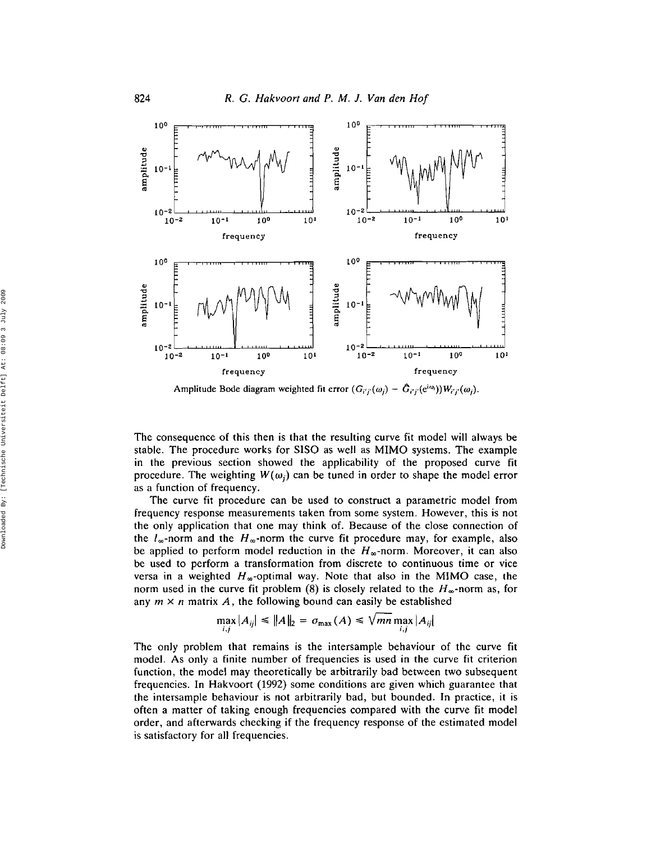

Amplitude Bode diagram weighted fit error  $(G_{i'j'}(\omega_j) - G_{i'j'}(e^{i\omega_j}))W_{i'j'}(\omega_j)$ .

The consequence of this then is that the resulting curve fit model will always be stable. The procedure works for SISO as well as MIMO systems. The example in the previous section showed the applicability of the proposed curve fit procedure. The weighting  $W(\omega_i)$  can be tuned in order to shape the model error as a function of frequency.

The curve fit procedure can be used to construct a parametric model from frequency response measurements taken from some system. However, this is not the only application that one may think of. Because of the close connection of the  $l_{\infty}$ -norm and the  $H_{\infty}$ -norm the curve fit procedure may, for example, also be applied to perform model reduction in the  $H_{\infty}$ -norm. Moreover, it can also be used to perform a transformation from discrete to continuous time or vice versa in a weighted  $H_{\infty}$ -optimal way. Note that also in the MIMO case, the norm used in the curve fit problem (8) is closely related to the  $H_{\infty}$ -norm as, for any  $m \times n$  matrix A, the following bound can easily be established

$$
\max_{i,j}|A_{ij}| \leq ||A||_2 = \sigma_{\max}(A) \leq \sqrt{mn} \max_{i,j}|A_{ij}|
$$

The only problem that remains is the intersample behaviour of the curve fit model. As only a finite number of frequencies is used in the curve fit criterion function, the model may theoretically be arbitrarily bad between two subsequent frequencies. In Hakvoort (1992) some conditions are given which guarantee that the intersample behaviour is not arbitrarily bad, but bounded. In practice, it is often a matter of taking enough frequencies compared with the curve fit model order, and afterwards checking if the frequency response of the estimated model is satisfactory for all frequencies.